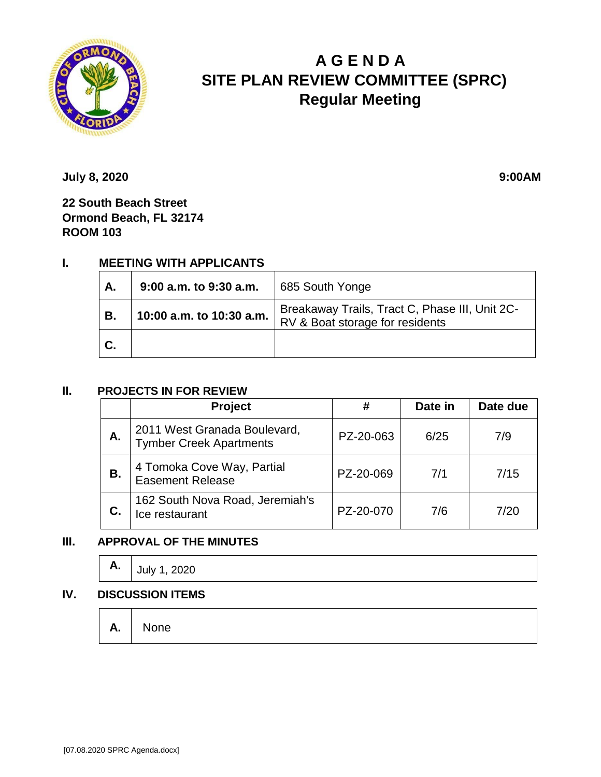

# **A G E N D A SITE PLAN REVIEW COMMITTEE (SPRC) Regular Meeting**

**July 8, 2020 9:00AM** 

**22 South Beach Street Ormond Beach, FL 32174 ROOM 103**

## **I. MEETING WITH APPLICANTS**

| А. | 9:00 a.m. to 9:30 a.m.   | 685 South Yonge                                                                   |
|----|--------------------------|-----------------------------------------------------------------------------------|
| В. | 10:00 a.m. to 10:30 a.m. | Breakaway Trails, Tract C, Phase III, Unit 2C-<br>RV & Boat storage for residents |
| С. |                          |                                                                                   |

#### **II. PROJECTS IN FOR REVIEW**

|    | <b>Project</b>                                                 | #         | Date in | Date due |
|----|----------------------------------------------------------------|-----------|---------|----------|
| А. | 2011 West Granada Boulevard,<br><b>Tymber Creek Apartments</b> | PZ-20-063 | 6/25    | 7/9      |
| В. | 4 Tomoka Cove Way, Partial<br><b>Easement Release</b>          | PZ-20-069 | 7/1     | 7/15     |
|    | 162 South Nova Road, Jeremiah's<br>Ice restaurant              | PZ-20-070 | 7/6     | 7/20     |

### **III. APPROVAL OF THE MINUTES**

| А. | 2020<br>l July 1 |
|----|------------------|
|----|------------------|

#### **IV. DISCUSSION ITEMS**

**A.** None